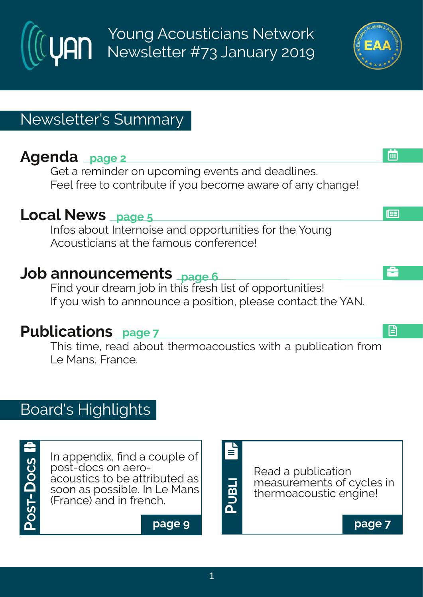Young Acousticians Network Newsletter #73 January 2019

# Newsletter's Summary

# **Agenda page 2**

Get a reminder on upcoming events and deadlines. Feel free to contribute if you become aware of any change!

### **Local News page 5**

Infos about Internoise and opportunities for the Young Acousticians at the famous conference!

# **Job announcements page 6**

Find your dream job in this fresh list of opportunities! If you wish to annnounce a position, please contact the YAN.

### **Publications page 7**

This time, read about thermoacoustics with a publication from Le Mans, France.

# Board's Highlights



In appendix, find a couple of post-docs on aeroacoustics to be attributed as soon as possible. In Le Mans (France) and in french.

**page 9**







å

l⊞

画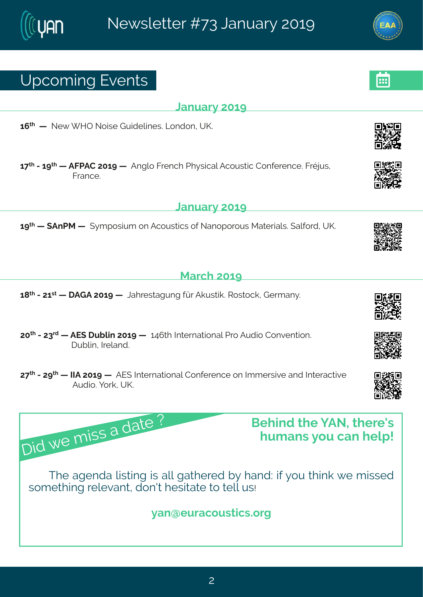**January 2019**



**March 2019**

**18 th - 21 st — DAGA 2019 —** [Jahrestagung](http://www.daga2019.de/en/) für Akustik. Rostock, Germany.

**20 th - 23 rd — AES Dublin 2019 —** 146th [International](http://www.aes.org/events/146/exhibitors/downloads/AESdublin2019_Brochure.pdf) Pro Audio Convention. Dublin, Ireland.

**27 th - 29 th — IIA 2019 —** AES [International](http://www.aes.org/conferences/2019/immersive/) Conference on Immersive and Interactive Audio. York, UK.

# Upcoming Events

Did we miss <sup>a</sup> date ?

**16 th —** New WHO Noise [Guidelines.](https://www.ioa.org.uk/civicrm/event/info%3Fid%3D418%26reset%3D1) London, UK.

**17 th - 19 th — AFPAC 2019 —** Anglo French Physical Acoustic [Conference.](http://afpac2018.iopconfs.org/home) Fréjus,

# **January 2019**

**19 th — SAnPM —** Symposium on Acoustics of [Nanoporous](https://www.eventbrite.co.uk/e/symposium-on-acoustics-of-nanoporous-materials-tickets-54101423815) Materials. Salford, UK.

# **Behind the YAN, there's**

**humans you can help!**

The agenda listing is all gathered by hand: if you think we missed something relevant, don't hesitate to tell us!

### **yan@euracoustics.org**











**R** 

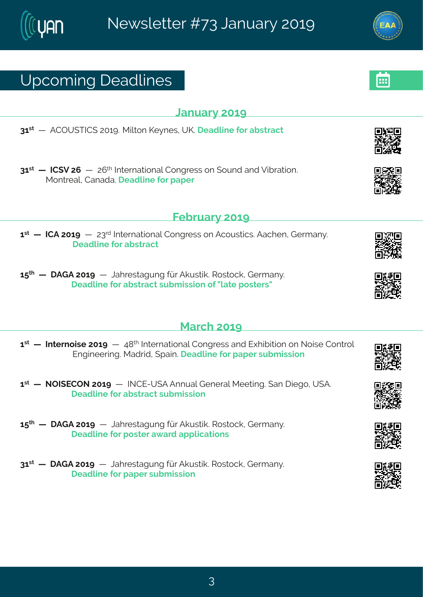**January 2019**

# Upcoming Deadlines

**31 st** — [ACOUSTICS](https://www.windturbinenoise.eu/content/conferences/8-wind-turbine-noise-2019/) 2019. Milton Keynes, UK. **Deadline for abstract**

**31 st — ICSV 26** — 26 th [International](https://www.icsv26.org/) Congress on Sound and Vibration. Montreal, Canada. **Deadline for paper**

### $\mathbf{1}^{\mathsf{st}}$  — **ICA 2019** — 23<sup>rd</sup> [International](http://www.ica2019.org/) Congress on Acoustics. Aachen, Germany. **Deadline for abstract**

**15 th — DAGA 2019** — [Jahrestagung](http://www.daga2019.de/en/) für Akustik. Rostock, Germany. **Deadline for abstract submission of"late posters"**

### **March 2019**

**February 2019**

- $\mathbf{1}^\text{st}$  Internoise 2019  $-$  48<sup>th</sup> International Congress and Exhibition on Noise Control [Engineering.](https://noisecon19.inceusa.org/) Madrid, Spain. **Deadline for paper submission**
- **1 st — NOISECON 2019** INCE-USA Annual General Meeting. San Diego, USA. **Deadline for abstract [submission](http://internoise2019.org/index.html)**
- **15 th — DAGA 2019** [Jahrestagung](http://www.daga2019.de/en/) für Akustik. Rostock, Germany. **Deadline for poster award applications**
- **31 st — DAGA 2019** [Jahrestagung](http://www.daga2019.de/en/) für Akustik. Rostock, Germany. **Deadline for paper submission**



















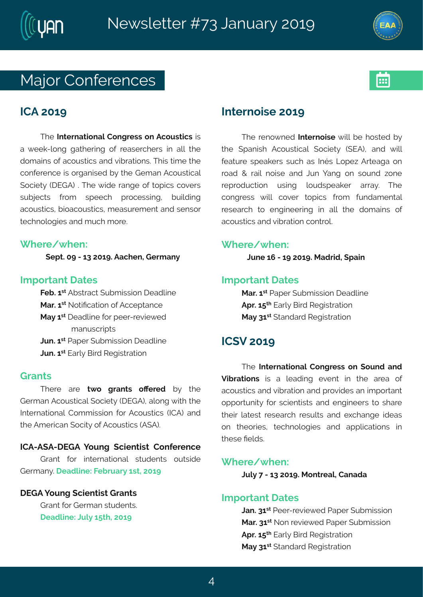



### Major Conferences



### **ICA 2019**

The **International Congress on Acoustics** is a week-long gathering of reaserchers in all the domains of acoustics and vibrations. This time the conference is organised by the Geman Acoustical Society (DEGA) . The wide range of topics covers subjects from speech processing, building acoustics, bioacoustics, measurement and sensor technologies and much more.

### **Where/when:**

**Sept. 09 - 13 2019. Aachen, Germany**

### **Important Dates**

**Feb. 1 st** Abstract Submission Deadline **Mar. 1 st** Notification of Acceptance **May 1 st** Deadline for peer-reviewed manuscripts **Jun. 1 st** Paper Submission Deadline **Jun. 1 st** Early Bird Registration

### **Grants**

There are **two grants offered** by the German Acoustical Society (DEGA), along with the International Commission for Acoustics (ICA) and the American Socity of Acoustics (ASA).

### **ICA-ASA-DEGA Young Scientist Conference**

Grant for international students outside Germany. **Deadline: February 1st, 2019**

### **DEGA Young Scientist Grants**

Grant for German students. **Deadline: July 15th, 2019**

### **Internoise 2019**

The renowned **Internoise** will be hosted by the Spanish Acoustical Society (SEA), and will feature speakers such as Inés Lopez Arteaga on road & rail noise and Jun Yang on sound zone reproduction using loudspeaker array. The congress will cover topics from fundamental research to engineering in all the domains of acoustics and vibration control.

### **Where/when:**

**June 16 - 19 2019. Madrid, Spain**

### **Important Dates**

**Mar. 1 st** Paper Submission Deadline **Apr. 15 th** Early Bird Registration **May 31 st** Standard Registration

### **ICSV 2019**

The **International Congress on Sound and Vibrations** is a leading event in the area of acoustics and vibration and provides an important opportunity for scientists and engineers to share their latest research results and exchange ideas on theories, technologies and applications in these fields.

### **Where/when:**

**July 7 - 13 2019. Montreal, Canada**

### **Important Dates**

**Jan. 31 st** Peer-reviewed Paper Submission **Mar. 31 st** Non reviewed Paper Submission **Apr. 15 th** Early Bird Registration **May 31 st** Standard Registration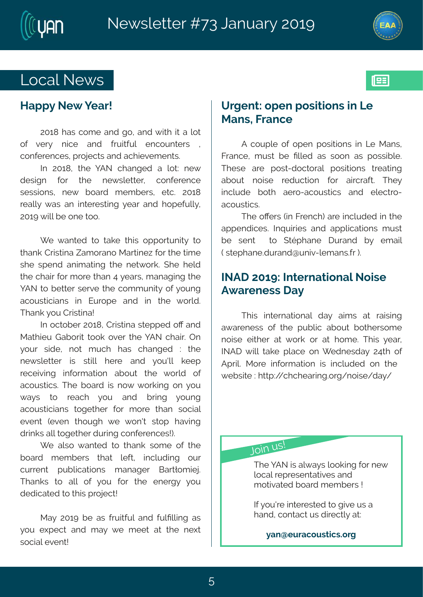



193

### Local News

### **Happy New Year!**

2018 has come and go, and with it a lot of very nice and fruitful encounters , conferences, projects and achievements.

In 2018, the YAN changed a lot: new design for the newsletter, conference sessions, new board members, etc. 2018 really was an interesting year and hopefully, 2019 will be one too.

We wanted to take this opportunity to thank Cristina Zamorano Martinez for the time she spend animating the network. She held the chair for more than 4 years, managing the YAN to better serve the community of young acousticians in Europe and in the world. Thank you Cristina!

In october 2018, Cristina stepped off and Mathieu Gaborit took over the YAN chair. On your side, not much has changed : the newsletter is still here and you'll keep receiving information about the world of acoustics. The board is now working on you ways to reach you and bring young acousticians together for more than social event (even though we won't stop having drinks all together during conferences!).

We also wanted to thank some of the board members that left, including our current publications manager Bartłomiej. Thanks to all of you for the energy you dedicated to this project!

May 2019 be as fruitful and fulfilling as you expect and may we meet at the next social event!

### **Urgent: open positions in Le Mans, France**

A couple of open positions in Le Mans, France, must be filled as soon as possible. These are post-doctoral positions treating about noise reduction for aircraft. They include both aero-acoustics and electroacoustics.

The offers (in French) are included in the appendices. Inquiries and applications must be sent to Stéphane Durand by email ( stephane.durand@univ-lemans.fr ).

### **INAD 2019: International Noise Awareness Day**

This international day aims at raising awareness of the public about bothersome noise either at work or at home. This year, INAD will take place on Wednesday 24th of April. More information is included on the website : http://chchearing.org/noise/day/

Join us!

The YAN is always looking for new local representatives and motivated board members !

If you're interested to give us a hand, contact us directly at:

**yan@euracoustics.org**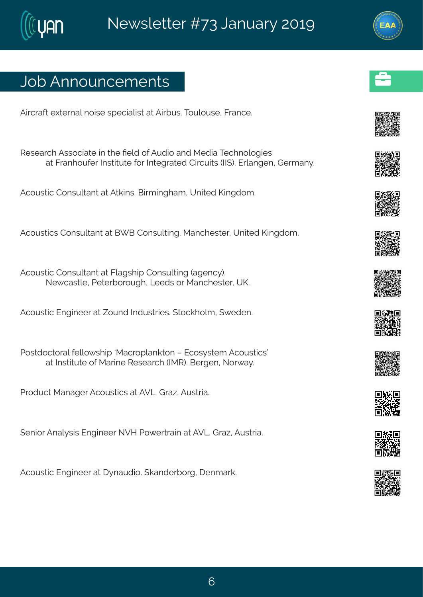# Job Announcements

Aircraft external noise specialist at Airbus. [Toulouse,](http://company.airbus.com/careers/jobs-and-applications/search-for-vacancies~lang=es~jobid=001A4B0A914A1ED8BB94417E21C4DE02~.html) France.

Research Associate in the field of Audio and Media [Technologies](https://recruiting.fraunhofer.de/Vacancies/31585/Description/2) at Franhoufer Institute for Integrated Circuits (IIS). Erlangen, Germany.

Acoustic Consultant at Atkins. [Birmingham,](https://recruiting.fraunhofer.de/Vacancies/31585/Description/2) United Kingdom.

Acoustics Consultant at BWB Consulting. [Manchester,](https://eu1.advorto.com/BWBConsulting/VacancyInformation.aspx?VId=23614) United Kingdom.

Acoustic Consultant at Flagship Consulting (agency). Newcastle, [Peterborough,](https://www.cv-library.co.uk/job/209230685/Acoustic-Consultant?hlkw=Acoustic&search_location=Leeds&sid=17503232-b5a9-4bd4-affb-446b61debe9d) Leeds or Manchester, UK.

Acoustic Engineer at Zound Industries. [Stockholm,](https://www.zoundindustries.com/jobs/) Sweden.

Postdoctoral fellowship ['Macroplankton](https://www.jobbnorge.no/en/available-jobs/job/162594/postdoctoral-fellowship-macroplankton-ecosystem-acoustics) – Ecosystem Acoustics' at Institute of Marine Research (IMR). Bergen, Norway.

Product Manager [Acoustics](https://www.avl.com/open-jobs?p_p_id=avljobdbfrontend1_WAR_avljobdbportlet_INSTANCE_NIzBc623DqUz&p_p_lifecycle=0&p_p_state=normal&p_p_mode=view&p_p_col_id=column-1&p_p_col_count=1&_avljobdbfrontend1_WAR_avljobdbportlet_INSTANCE_NIzBc623DqUz_view=jobform&_avljobdbfrontend1_WAR_avljobdbportlet_INSTANCE_NIzBc623DqUz_id=22799) at AVL. Graz, Austria.

Senior Analysis Engineer NVH [Powertrain](https://www.avl.com/open-jobs?p_p_id=avljobdbfrontend1_WAR_avljobdbportlet_INSTANCE_NIzBc623DqUz&p_p_lifecycle=0&p_p_state=normal&p_p_mode=view&p_p_col_id=column-1&p_p_col_count=1&_avljobdbfrontend1_WAR_avljobdbportlet_INSTANCE_NIzBc623DqUz_view=jobform&_avljobdbfrontend1_WAR_avljobdbportlet_INSTANCE_NIzBc623DqUz_id=22309) at AVL. Graz, Austria.

Acoustic Engineer at Dynaudio. [Skanderborg,](https://app.jobmatchprofile.com/e6t6gp) Denmark.























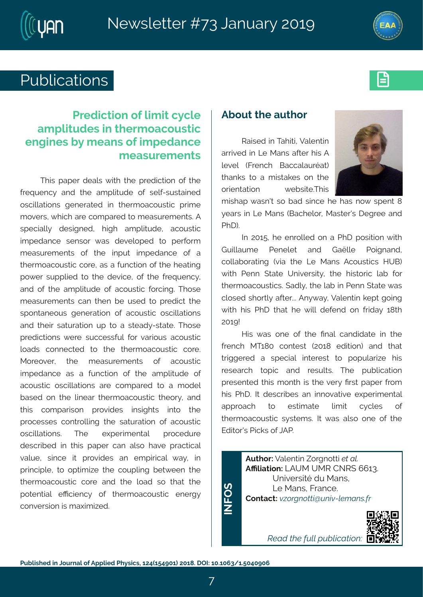



# Publications **Executive**



### **Prediction of limit cycle amplitudes in thermoacoustic engines by means of impedance measurements**

This paper deals with the prediction of the frequency and the amplitude of self-sustained oscillations generated in thermoacoustic prime movers, which are compared to measurements. A specially designed, high amplitude, acoustic impedance sensor was developed to perform measurements of the input impedance of a thermoacoustic core, as a function of the heating power supplied to the device, of the frequency, and of the amplitude of acoustic forcing. Those measurements can then be used to predict the spontaneous generation of acoustic oscillations and their saturation up to a steady-state. Those predictions were successful for various acoustic loads connected to the thermoacoustic core. Moreover, the measurements of acoustic impedance as a function of the amplitude of acoustic oscillations are compared to a model based on the linear thermoacoustic theory, and this comparison provides insights into the processes controlling the saturation of acoustic oscillations. The experimental procedure described in this paper can also have practical value, since it provides an empirical way, in principle, to optimize the coupling between the thermoacoustic core and the load so that the potential efficiency of thermoacoustic energy conversion is maximized.

### **About the author**

Raised in Tahiti, Valentin arrived in Le Mans after his A level (French Baccalauréat) thanks to a mistakes on the orientation website.This



mishap wasn't so bad since he has now spent 8 years in Le Mans (Bachelor, Master's Degree and PhD).

In 2015, he enrolled on a PhD position with Guillaume Penelet and Gaëlle Poignand, collaborating (via the Le Mans Acoustics HUB) with Penn State University, the historic lab for thermoacoustics. Sadly, the lab in Penn State was closed shortly after... Anyway, Valentin kept going with his PhD that he will defend on friday 18th 2019!

His was one of the final candidate in the french MT180 contest (2018 edition) and that triggered a special interest to popularize his research topic and results. The publication presented this month is the very first paper from his PhD. It describes an innovative experimental approach to estimate limit cycles of thermoacoustic systems. It was also one of the Editor's Picks of JAP.

**Author:** Valentin Zorgnotti *et al.* **Affiliation:** LAUM UMR CNRS 6613. Université du Mans, Le Mans, France. **Contact:** *vzorgnotti@univ-lemans.fr*

*Read the full [publication:](https://aip.scitation.org/doi/10.1063/1.5040906)*



7

 $\mathbf{Z}$  . **FO**<u>ທ</u>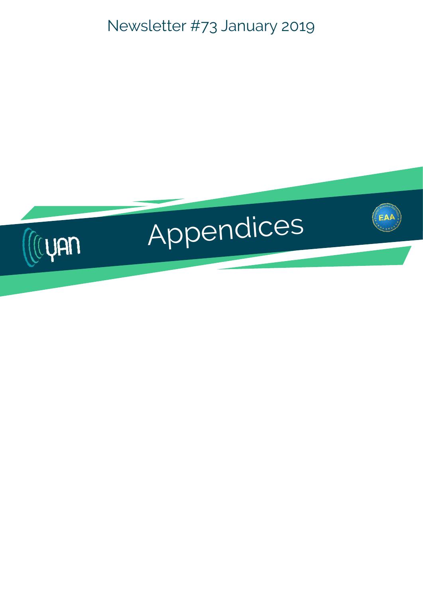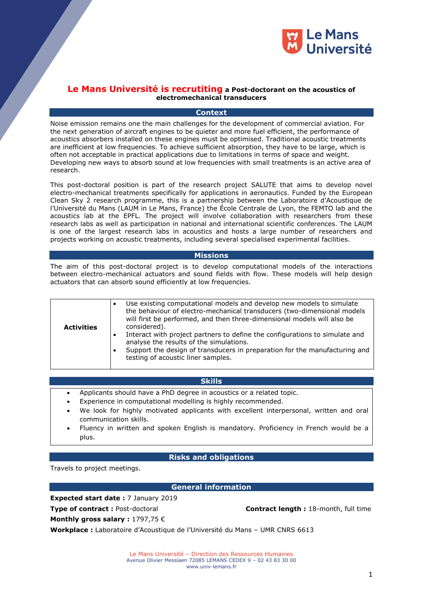

#### **Le Mans Université is recrutiting a Post-doctorant on the acoustics of electromechanical transducers**

#### **Context**

Noise emission remains one the main challenges for the development of commercial aviation. For the next generation of aircraft engines to be quieter and more fuel efficient, the performance of acoustics absorbers installed on these engines must be optimised. Traditional acoustic treatments are inefficient at low frequencies. To achieve sufficient absorption, they have to be large, which is often not acceptable in practical applications due to limitations in terms of space and weight. Developing new ways to absorb sound at low frequencies with small treatments is an active area of research.

This post-doctoral position is part of the research project SALUTE that aims to develop novel electro-mechanical treatments specifically for applications in aeronautics. Funded by the European Clean Sky 2 research programme, this is a partnership between the Laboratoire d'Acoustique de l'Université du Mans (LAUM in Le Mans, France) the École Centrale de Lyon, the FEMTO lab and the acoustics lab at the EPFL. The project will involve collaboration with researchers from these research labs as well as participation in national and international scientific conferences. The LAUM is one of the largest research labs in acoustics and hosts a large number of researchers and projects working on acoustic treatments, including several specialised experimental facilities.

#### **Missions**

The aim of this post-doctoral project is to develop computational models of the interactions between electro-mechanical actuators and sound fields with flow. These models will help design actuators that can absorb sound efficiently at low frequencies.

| <b>Activities</b> | Use existing computational models and develop new models to simulate<br>the behaviour of electro-mechanical transducers (two-dimensional models<br>will first be performed, and then three-dimensional models will also be<br>considered).<br>Interact with project partners to define the configurations to simulate and<br>analyse the results of the simulations.<br>Support the design of transducers in preparation for the manufacturing and<br>testing of acoustic liner samples. |
|-------------------|------------------------------------------------------------------------------------------------------------------------------------------------------------------------------------------------------------------------------------------------------------------------------------------------------------------------------------------------------------------------------------------------------------------------------------------------------------------------------------------|

#### **Skills**

- Applicants should have a PhD degree in acoustics or a related topic.
- Experience in computational modelling is highly recommended.
- We look for highly motivated applicants with excellent interpersonal, written and oral communication skills.
- Fluency in written and spoken English is mandatory. Proficiency in French would be a plus.

#### **Risks and obligations**

Travels to project meetings.

### **General information**

**Expected start date :** 7 January 2019

**Type of contract**: Post-doctoral **Contract length Contract length :** 18-month, full time

**Monthly gross salary :** 1797,75 €

**Workplace :** Laboratoire d'Acoustique de l'Université du Mans – UMR CNRS 6613

Le Mans Université – Direction des Ressources Humaines Avenue Olivier Messiaen 72085 LEMANS CEDEX 9 – 02 43 83 30 00 www.univ-lemans.fr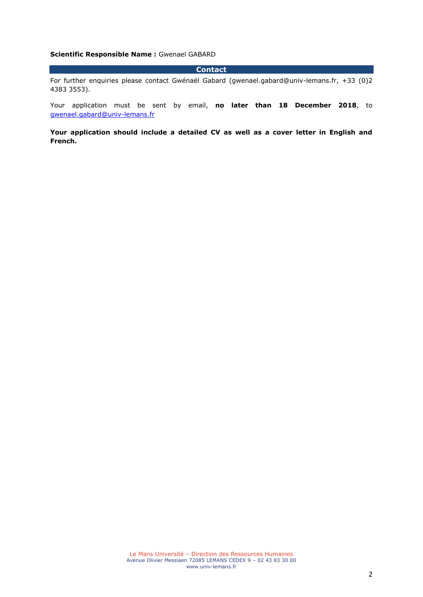#### **Scientific Responsible Name :** Gwenael GABARD

#### **Contact**

For further enquiries please contact Gwénaël Gabard (gwenael.gabard@univ-lemans.fr, +33 (0)2 4383 3553).

Your application must be sent by email, **no later than 18 December 2018**, to [gwenael.gabard@univ-lemans.fr](mailto:gwenael.gabard@univ-lemans.fr)

**Your application should include a detailed CV as well as a cover letter in English and French.**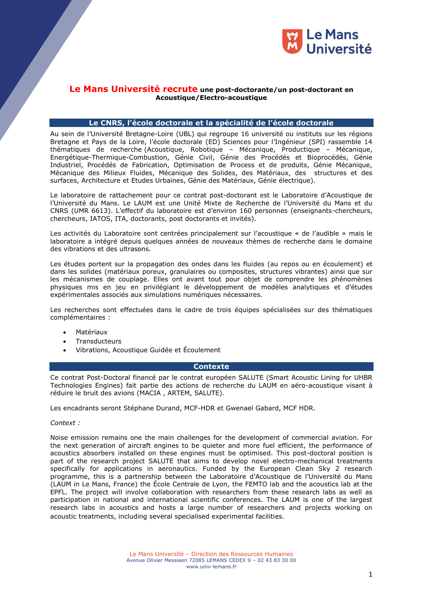

#### **Le Mans Université recrute une post-doctorante/un post-doctorant en Acoustique/Electro-acoustique**

#### **Le CNRS, l'école doctorale et la spécialité de l'école doctorale**

Au sein de l'Université Bretagne-Loire (UBL) qui regroupe 16 université ou instituts sur les régions Bretagne et Pays de la Loire, l'école doctorale (ED) Sciences pour l'Ingénieur (SPI) rassemble 14 thématiques de recherche (Acoustique, Robotique – Mécanique, Productique – Mécanique, Energétique-Thermique-Combustion, Génie Civil, Génie des Procédés et Bioprocédés, Génie Industriel, Procédés de Fabrication, Optimisation de Process et de produits, Génie Mécanique, Mécanique des Milieux Fluides, Mécanique des Solides, des Matériaux, des structures et des surfaces, Architecture et Etudes Urbaines, Génie des Matériaux, Génie électrique).

Le laboratoire de rattachement pour ce contrat post-doctorant est le Laboratoire d'Acoustique de l'Université du Mans. Le LAUM est une Unité Mixte de Recherche de l'Université du Mans et du CNRS (UMR 6613). L'effectif du laboratoire est d'environ 160 personnes (enseignants-chercheurs, chercheurs, IATOS, ITA, doctorants, post doctorants et invités).

Les activités du Laboratoire sont centrées principalement sur l'acoustique « de l'audible » mais le laboratoire a intégré depuis quelques années de nouveaux thèmes de recherche dans le domaine des vibrations et des ultrasons.

Les études portent sur la propagation des ondes dans les fluides (au repos ou en écoulement) et dans les solides (matériaux poreux, granulaires ou composites, structures vibrantes) ainsi que sur les mécanismes de couplage. Elles ont avant tout pour objet de comprendre les phénomènes physiques mis en jeu en privilégiant le développement de modèles analytiques et d'études expérimentales associés aux simulations numériques nécessaires.

Les recherches sont effectuées dans le cadre de trois équipes spécialisées sur des thématiques complémentaires :

- Matériaux
- **Transducteurs**
- Vibrations, Acoustique Guidée et Écoulement

#### **Contexte**

Ce contrat Post-Doctoral financé par le contrat européen SALUTE (Smart Acoustic Lining for UHBR Technologies Engines) fait partie des actions de recherche du LAUM en aéro-acoustique visant à réduire le bruit des avions (MACIA , ARTEM, SALUTE).

Les encadrants seront Stéphane Durand, MCF-HDR et Gwenael Gabard, MCF HDR.

*Context :*

Noise emission remains one the main challenges for the development of commercial aviation. For the next generation of aircraft engines to be quieter and more fuel efficient, the performance of acoustics absorbers installed on these engines must be optimised. This post-doctoral position is part of the research project SALUTE that aims to develop novel electro-mechanical treatments specifically for applications in aeronautics. Funded by the European Clean Sky 2 research programme, this is a partnership between the Laboratoire d'Acoustique de l'Université du Mans (LAUM in Le Mans, France) the École Centrale de Lyon, the FEMTO lab and the acoustics lab at the EPFL. The project will involve collaboration with researchers from these research labs as well as participation in national and international scientific conferences. The LAUM is one of the largest research labs in acoustics and hosts a large number of researchers and projects working on acoustic treatments, including several specialised experimental facilities.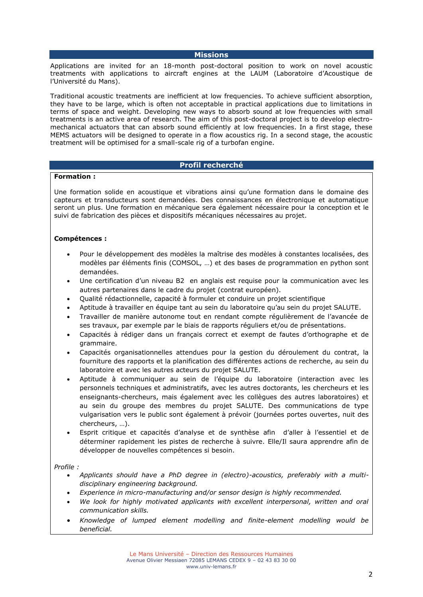**Missions**

Applications are invited for an 18-month post-doctoral position to work on novel acoustic treatments with applications to aircraft engines at the LAUM (Laboratoire d'Acoustique de l'Université du Mans).

Traditional acoustic treatments are inefficient at low frequencies. To achieve sufficient absorption, they have to be large, which is often not acceptable in practical applications due to limitations in terms of space and weight. Developing new ways to absorb sound at low frequencies with small treatments is an active area of research. The aim of this post-doctoral project is to develop electromechanical actuators that can absorb sound efficiently at low frequencies. In a first stage, these MEMS actuators will be designed to operate in a flow acoustics rig. In a second stage, the acoustic treatment will be optimised for a small-scale rig of a turbofan engine.

#### **Profil recherché**

#### **Formation :**

Une formation solide en acoustique et vibrations ainsi qu'une formation dans le domaine des capteurs et transducteurs sont demandées. Des connaissances en électronique et automatique seront un plus. Une formation en mécanique sera également nécessaire pour la conception et le suivi de fabrication des pièces et dispositifs mécaniques nécessaires au projet.

#### **Compétences :**

- Pour le développement des modèles la maîtrise des modèles à constantes localisées, des modèles par éléments finis (COMSOL, …) et des bases de programmation en python sont demandées.
- Une certification d'un niveau B2 en anglais est requise pour la communication avec les autres partenaires dans le cadre du projet (contrat européen).
- Qualité rédactionnelle, capacité à formuler et conduire un projet scientifique
- Aptitude à travailler en équipe tant au sein du laboratoire qu'au sein du projet SALUTE.
- Travailler de manière autonome tout en rendant compte régulièrement de l'avancée de ses travaux, par exemple par le biais de rapports réguliers et/ou de présentations.
- Capacités à rédiger dans un français correct et exempt de fautes d'orthographe et de grammaire.
- Capacités organisationnelles attendues pour la gestion du déroulement du contrat, la fourniture des rapports et la planification des différentes actions de recherche, au sein du laboratoire et avec les autres acteurs du projet SALUTE.
- Aptitude à communiquer au sein de l'équipe du laboratoire (interaction avec les personnels techniques et administratifs, avec les autres doctorants, les chercheurs et les enseignants-chercheurs, mais également avec les collègues des autres laboratoires) et au sein du groupe des membres du projet SALUTE. Des communications de type vulgarisation vers le public sont également à prévoir (journées portes ouvertes, nuit des chercheurs, …).
- Esprit critique et capacités d'analyse et de synthèse afin d'aller à l'essentiel et de déterminer rapidement les pistes de recherche à suivre. Elle/Il saura apprendre afin de développer de nouvelles compétences si besoin.

#### *Profile :*

- *Applicants should have a PhD degree in (electro)-acoustics, preferably with a multidisciplinary engineering background.*
- *Experience in micro-manufacturing and/or sensor design is highly recommended.*
- We look for highly motivated applicants with excellent interpersonal, written and oral *communication skills.*
- *Knowledge of lumped element modelling and finite-element modelling would be beneficial.*